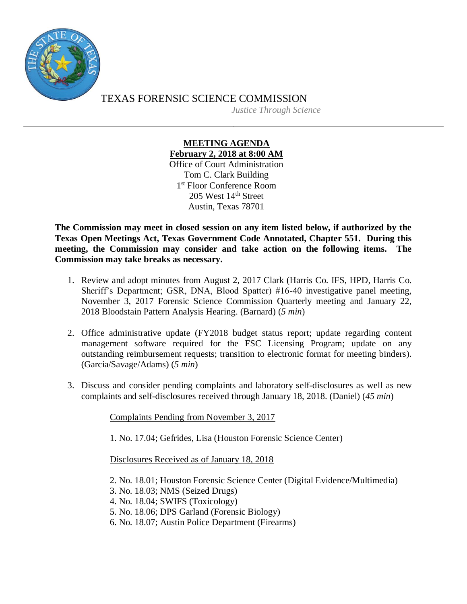

TEXAS FORENSIC SCIENCE COMMISSION *Justice Through Science*

## **MEETING AGENDA February 2, 2018 at 8:00 AM** Office of Court Administration Tom C. Clark Building 1 st Floor Conference Room 205 West 14th Street Austin, Texas 78701

**The Commission may meet in closed session on any item listed below, if authorized by the Texas Open Meetings Act, Texas Government Code Annotated, Chapter 551. During this meeting, the Commission may consider and take action on the following items. The Commission may take breaks as necessary.**

- 1. Review and adopt minutes from August 2, 2017 Clark (Harris Co. IFS, HPD, Harris Co. Sheriff's Department; GSR, DNA, Blood Spatter) #16-40 investigative panel meeting, November 3, 2017 Forensic Science Commission Quarterly meeting and January 22, 2018 Bloodstain Pattern Analysis Hearing. (Barnard) (*5 min*)
- 2. Office administrative update (FY2018 budget status report; update regarding content management software required for the FSC Licensing Program; update on any outstanding reimbursement requests; transition to electronic format for meeting binders). (Garcia/Savage/Adams) (*5 min*)
- 3. Discuss and consider pending complaints and laboratory self-disclosures as well as new complaints and self-disclosures received through January 18, 2018. (Daniel) (*45 min*)

Complaints Pending from November 3, 2017

1. No. 17.04; Gefrides, Lisa (Houston Forensic Science Center)

Disclosures Received as of January 18, 2018

- 2. No. 18.01; Houston Forensic Science Center (Digital Evidence/Multimedia)
- 3. No. 18.03; NMS (Seized Drugs)
- 4. No. 18.04; SWIFS (Toxicology)
- 5. No. 18.06; DPS Garland (Forensic Biology)
- 6. No. 18.07; Austin Police Department (Firearms)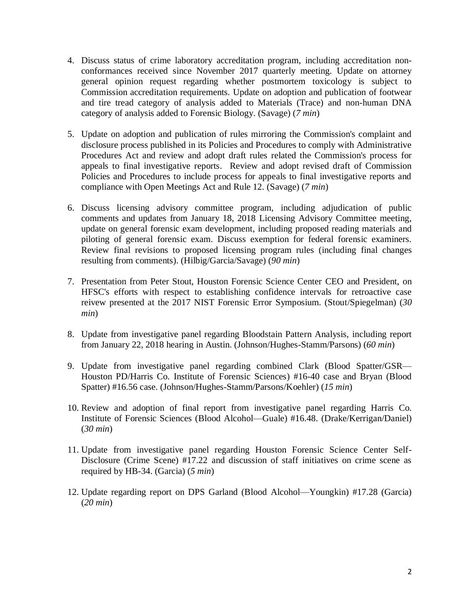- 4. Discuss status of crime laboratory accreditation program, including accreditation nonconformances received since November 2017 quarterly meeting. Update on attorney general opinion request regarding whether postmortem toxicology is subject to Commission accreditation requirements. Update on adoption and publication of footwear and tire tread category of analysis added to Materials (Trace) and non-human DNA category of analysis added to Forensic Biology. (Savage) (*7 min*)
- 5. Update on adoption and publication of rules mirroring the Commission's complaint and disclosure process published in its Policies and Procedures to comply with Administrative Procedures Act and review and adopt draft rules related the Commission's process for appeals to final investigative reports. Review and adopt revised draft of Commission Policies and Procedures to include process for appeals to final investigative reports and compliance with Open Meetings Act and Rule 12. (Savage) (*7 min*)
- 6. Discuss licensing advisory committee program, including adjudication of public comments and updates from January 18, 2018 Licensing Advisory Committee meeting, update on general forensic exam development, including proposed reading materials and piloting of general forensic exam. Discuss exemption for federal forensic examiners. Review final revisions to proposed licensing program rules (including final changes resulting from comments). (Hilbig/Garcia/Savage) (*90 min*)
- 7. Presentation from Peter Stout, Houston Forensic Science Center CEO and President, on HFSC's efforts with respect to establishing confidence intervals for retroactive case reivew presented at the 2017 NIST Forensic Error Symposium. (Stout/Spiegelman) (*30 min*)
- 8. Update from investigative panel regarding Bloodstain Pattern Analysis, including report from January 22, 2018 hearing in Austin. (Johnson/Hughes-Stamm/Parsons) (*60 min*)
- 9. Update from investigative panel regarding combined Clark (Blood Spatter/GSR— Houston PD/Harris Co. Institute of Forensic Sciences) #16-40 case and Bryan (Blood Spatter) #16.56 case. (Johnson/Hughes-Stamm/Parsons/Koehler) (*15 min*)
- 10. Review and adoption of final report from investigative panel regarding Harris Co. Institute of Forensic Sciences (Blood Alcohol—Guale) #16.48. (Drake/Kerrigan/Daniel) (*30 min*)
- 11. Update from investigative panel regarding Houston Forensic Science Center Self-Disclosure (Crime Scene) #17.22 and discussion of staff initiatives on crime scene as required by HB-34. (Garcia) (*5 min*)
- 12. Update regarding report on DPS Garland (Blood Alcohol—Youngkin) #17.28 (Garcia) (*20 min*)